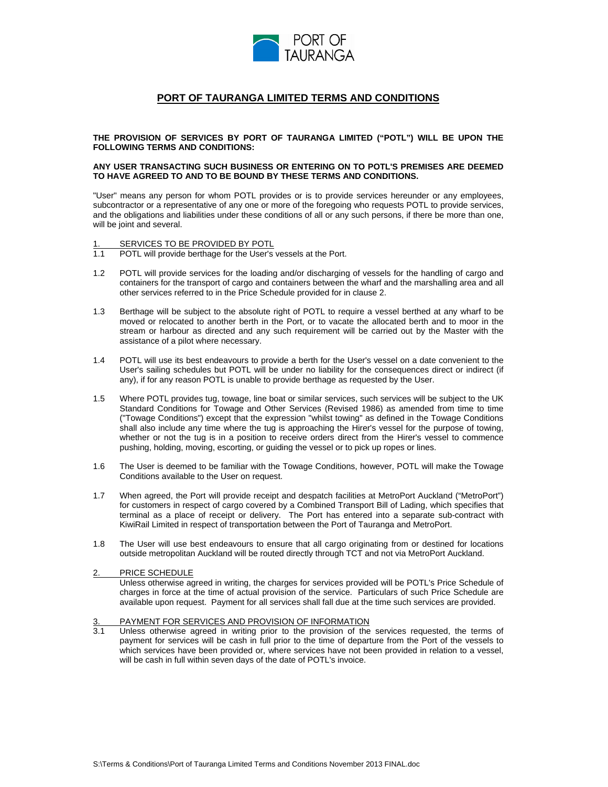

# **PORT OF TAURANGA LIMITED TERMS AND CONDITIONS**

**THE PROVISION OF SERVICES BY PORT OF TAURANGA LIMITED ("POTL") WILL BE UPON THE FOLLOWING TERMS AND CONDITIONS:**

#### **ANY USER TRANSACTING SUCH BUSINESS OR ENTERING ON TO POTL'S PREMISES ARE DEEMED TO HAVE AGREED TO AND TO BE BOUND BY THESE TERMS AND CONDITIONS.**

"User" means any person for whom POTL provides or is to provide services hereunder or any employees, subcontractor or a representative of any one or more of the foregoing who requests POTL to provide services, and the obligations and liabilities under these conditions of all or any such persons, if there be more than one, will be joint and several.

# 1. SERVICES TO BE PROVIDED BY POTL<br>1.1 POTL will provide berthage for the User's

- POTL will provide berthage for the User's vessels at the Port.
- 1.2 POTL will provide services for the loading and/or discharging of vessels for the handling of cargo and containers for the transport of cargo and containers between the wharf and the marshalling area and all other services referred to in the Price Schedule provided for in clause 2.
- 1.3 Berthage will be subject to the absolute right of POTL to require a vessel berthed at any wharf to be moved or relocated to another berth in the Port, or to vacate the allocated berth and to moor in the stream or harbour as directed and any such requirement will be carried out by the Master with the assistance of a pilot where necessary.
- 1.4 POTL will use its best endeavours to provide a berth for the User's vessel on a date convenient to the User's sailing schedules but POTL will be under no liability for the consequences direct or indirect (if any), if for any reason POTL is unable to provide berthage as requested by the User.
- 1.5 Where POTL provides tug, towage, line boat or similar services, such services will be subject to the UK Standard Conditions for Towage and Other Services (Revised 1986) as amended from time to time ("Towage Conditions") except that the expression "whilst towing" as defined in the Towage Conditions shall also include any time where the tug is approaching the Hirer's vessel for the purpose of towing, whether or not the tug is in a position to receive orders direct from the Hirer's vessel to commence pushing, holding, moving, escorting, or guiding the vessel or to pick up ropes or lines.
- 1.6 The User is deemed to be familiar with the Towage Conditions, however, POTL will make the Towage Conditions available to the User on request.
- 1.7 When agreed, the Port will provide receipt and despatch facilities at MetroPort Auckland ("MetroPort") for customers in respect of cargo covered by a Combined Transport Bill of Lading, which specifies that terminal as a place of receipt or delivery. The Port has entered into a separate sub-contract with KiwiRail Limited in respect of transportation between the Port of Tauranga and MetroPort.
- 1.8 The User will use best endeavours to ensure that all cargo originating from or destined for locations outside metropolitan Auckland will be routed directly through TCT and not via MetroPort Auckland.

#### 2. PRICE SCHEDULE **AND A SERVICE SCHEDULE**

Unless otherwise agreed in writing, the charges for services provided will be POTL's Price Schedule of charges in force at the time of actual provision of the service. Particulars of such Price Schedule are available upon request. Payment for all services shall fall due at the time such services are provided.

#### PAYMENT FOR SERVICES AND PROVISION OF INFORMATION

3.1 Unless otherwise agreed in writing prior to the provision of the services requested, the terms of payment for services will be cash in full prior to the time of departure from the Port of the vessels to which services have been provided or, where services have not been provided in relation to a vessel, will be cash in full within seven days of the date of POTL's invoice.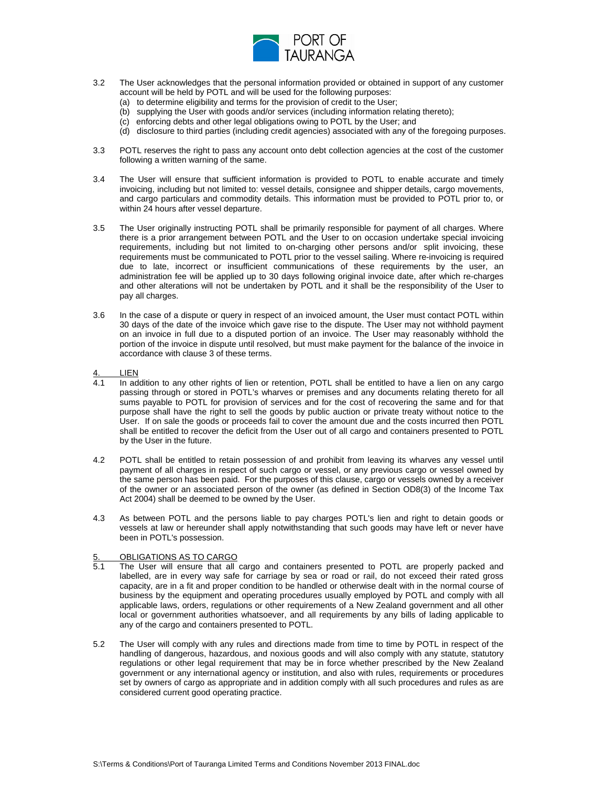

- 3.2 The User acknowledges that the personal information provided or obtained in support of any customer account will be held by POTL and will be used for the following purposes:
	- (a) to determine eligibility and terms for the provision of credit to the User;
	- (b) supplying the User with goods and/or services (including information relating thereto);
	- (c) enforcing debts and other legal obligations owing to POTL by the User; and
	- (d) disclosure to third parties (including credit agencies) associated with any of the foregoing purposes.
- 3.3 POTL reserves the right to pass any account onto debt collection agencies at the cost of the customer following a written warning of the same.
- 3.4 The User will ensure that sufficient information is provided to POTL to enable accurate and timely invoicing, including but not limited to: vessel details, consignee and shipper details, cargo movements, and cargo particulars and commodity details. This information must be provided to POTL prior to, or within 24 hours after vessel departure.
- 3.5 The User originally instructing POTL shall be primarily responsible for payment of all charges. Where there is a prior arrangement between POTL and the User to on occasion undertake special invoicing requirements, including but not limited to on-charging other persons and/or split invoicing, these requirements must be communicated to POTL prior to the vessel sailing. Where re-invoicing is required due to late, incorrect or insufficient communications of these requirements by the user, an administration fee will be applied up to 30 days following original invoice date, after which re-charges and other alterations will not be undertaken by POTL and it shall be the responsibility of the User to pay all charges.
- 3.6 In the case of a dispute or query in respect of an invoiced amount, the User must contact POTL within 30 days of the date of the invoice which gave rise to the dispute. The User may not withhold payment on an invoice in full due to a disputed portion of an invoice. The User mayreasonably withhold the portion of the invoice in dispute until resolved, but must make payment for the balance of the invoice in accordance with clause 3 of these terms.
- 4. LIEN
- 4.1 In addition to any other rights of lien or retention, POTL shall be entitled to have a lien on any cargo passing through or stored in POTL's wharves or premisesand any documents relating thereto for all sums payable to POTL for provision of services and for the cost of recovering the same and for that purpose shall have the right to sell the goods by public auction or private treaty without notice to the User. If on sale the goods or proceeds fail to cover the amount due and the costs incurred then POTL shall be entitled to recover the deficit from the User out of all cargo and containers presented to POTL by the User in the future.
- 4.2 POTL shall be entitled to retain possession of and prohibit from leaving its wharves any vessel until payment of all charges in respect of such cargo or vessel, or any previous cargo or vessel owned by the same person has been paid. For the purposes of this clause, cargo or vessels owned by a receiver of the owner or an associated person of the owner (as defined in Section OD8(3) of the Income Tax Act 2004) shall be deemed to be owned by the User.
- 4.3 As between POTL and the persons liable to pay charges POTL's lien and right to detain goods or vessels at law or hereunder shall apply notwithstanding that such goods may have left or never have been in POTL's possession.

#### 5. OBLIGATIONS AS TO CARGO

- 5.1 The User will ensure that all cargo and containers presented to POTL are properly packed and labelled, are in every way safe for carriage by sea or road or rail, do not exceed their rated gross capacity, are in a fit and proper condition to be handled or otherwise dealt with in the normal course of business by the equipment and operating procedures usually employed by POTL and comply with all applicable laws, orders, regulations or other requirements of a New Zealand government and all other local or government authorities whatsoever, and all requirements by any bills of lading applicable to any of the cargo and containers presented to POTL.
- 5.2 The User will comply with any rules and directions made from time to time by POTL in respect of the handling of dangerous, hazardous, and noxious goods and will also comply with any statute, statutory regulations or other legal requirement that may be in force whether prescribed by the New Zealand government or any international agency or institution, and also with rules, requirements or procedures set by owners of cargo as appropriate and in addition comply with all such procedures and rules as are considered current good operating practice.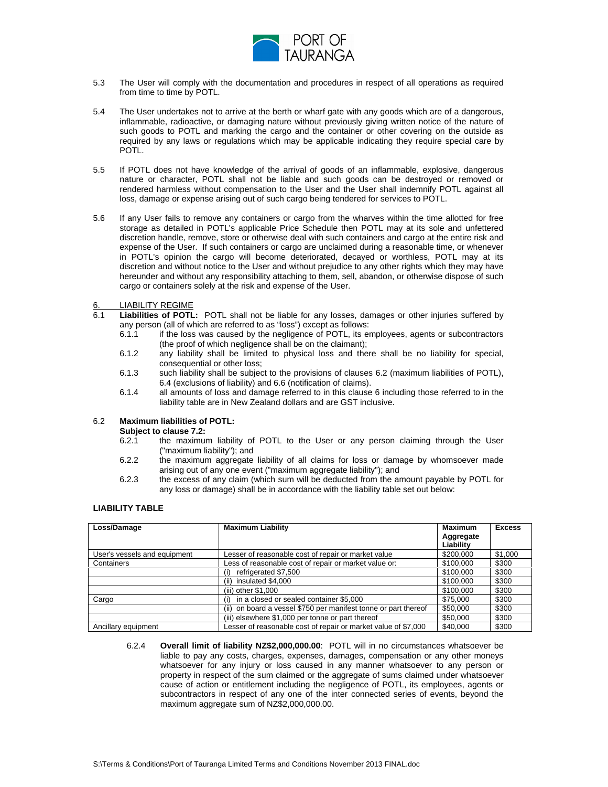

- 5.3 The User will comply with the documentation and procedures in respect of all operations as required from time to time by POTL.
- 5.4 The User undertakes not to arrive at the berth or wharf gate with any goods which are of a dangerous, inflammable, radioactive, or damaging nature without previously giving written notice of the nature of such goods to POTL and marking the cargo and the container or other covering on the outside as required by any laws or regulations which may be applicable indicating they require special care by POTL.
- 5.5 If POTL does not have knowledge of the arrival of goods of an inflammable, explosive, dangerous nature or character, POTL shall not be liable and such goods can be destroyed or removed or rendered harmless without compensation to the User and the User shall indemnify POTL against all loss, damage or expense arising out of such cargo being tendered for services to POTL.
- 5.6 If any User fails to remove any containers or cargo from the wharves within the time allotted for free storage as detailed in POTL's applicable Price Schedule then POTL may at its sole and unfettered discretion handle, remove, store or otherwise deal with such containers and cargo at the entire risk and expense of the User. If such containers or cargo are unclaimed during a reasonable time, or whenever in POTL's opinion the cargo will become deteriorated, decayed or worthless, POTL may at its discretion and without notice to the User and without prejudice to any other rights which they may have hereunder and without any responsibility attaching to them, sell, abandon, or otherwise dispose of such cargo or containers solely at the risk and expense of the User.

#### 6. LIABILITY REGIME **All and the set of the set of the set of the set of the set of the set of the set of the set of the set of the set of the set of the set of the set of the set of the set of the set of the set of the se**

- 6.1 **Liabilities of POTL:** POTL shall not be liable for any losses, damages or other injuries suffered by any person (all of which are referred to as "loss") except as follows:
	- 6.1.1 if the loss was caused by the negligence of POTL, its employees, agents or subcontractors (the proof of which negligence shall be on the claimant);
	- 6.1.2 any liability shall be limited to physical loss and there shall be no liability for special, consequential or other loss;
	- 6.1.3 such liability shall be subject to the provisions of clauses 6.2 (maximum liabilities of POTL), 6.4 (exclusions of liability) and 6.6 (notification of claims).
	- 6.1.4 all amounts of loss and damage referred to in this clause 6 including those referred to in the liability table are in New Zealand dollars and are GST inclusive.

#### 6.2 **Maximum liabilities of POTL:**

# **Subject to clause 7.2:**

- 6.2.1 the maximum liability of POTL to the User or any person claiming through the User ("maximum liability"); and
- 6.2.2 the maximum aggregate liability of all claims for loss or damage by whomsoever made arising out of any one event ("maximum aggregate liability"); and
- 6.2.3 the excess of any claim (which sum will be deducted from the amount payable by POTL for any loss or damage) shall be in accordance with the liability table set out below:

### **LIABILITY TABLE**

| Loss/Damage                  | <b>Maximum Liability</b>                                                             | Maximum   | Excess        |
|------------------------------|--------------------------------------------------------------------------------------|-----------|---------------|
|                              |                                                                                      |           |               |
|                              |                                                                                      | Aggregate |               |
|                              |                                                                                      | Liability |               |
| User's vessels and equipment | Lesser of reasonable cost of repair or market value                                  | \$200,000 | \$1,000       |
| Containers                   | Less of reasonable cost of repair or market value or:                                | \$100,000 | $\sqrt{$300}$ |
|                              | (i) refrigerated \$7,500                                                             | \$100,000 | \$300         |
|                              | (ii) insulated \$4,000                                                               | \$100,000 | \$300         |
|                              | (iii) other \$1,000                                                                  | \$100,000 | $\sqrt{$300}$ |
| Cargo                        | i) in a closed or sealed container \$5,000                                           | \$75,000  | \$300         |
|                              | (ii) on board a vessel \$750 per manifest tonne or part thereof $\parallel$ \$50,000 |           | \$300         |
|                              | (iii) elsewhere \$1,000 per tonne or part thereof                                    | \$50,000  | \$300         |
| Ancillary equipment          | Lesser of reasonable cost of repair or market value of \$7,000 \$40,000              |           | \$300         |

6.2.4 **Overall limit of liability NZ\$2,000,000.00**: POTL will in no circumstances whatsoever be liable to pay any costs, charges, expenses, damages, compensation or any other moneys whatsoever for any injury or loss caused in any manner whatsoever to any person or property in respect of the sum claimed or the aggregate of sums claimed under whatsoever cause of action or entitlement including the negligence of POTL, its employees, agents or subcontractors in respect of any one of the inter connected series of events, beyond the maximum aggregate sum of NZ\$2,000,000.00.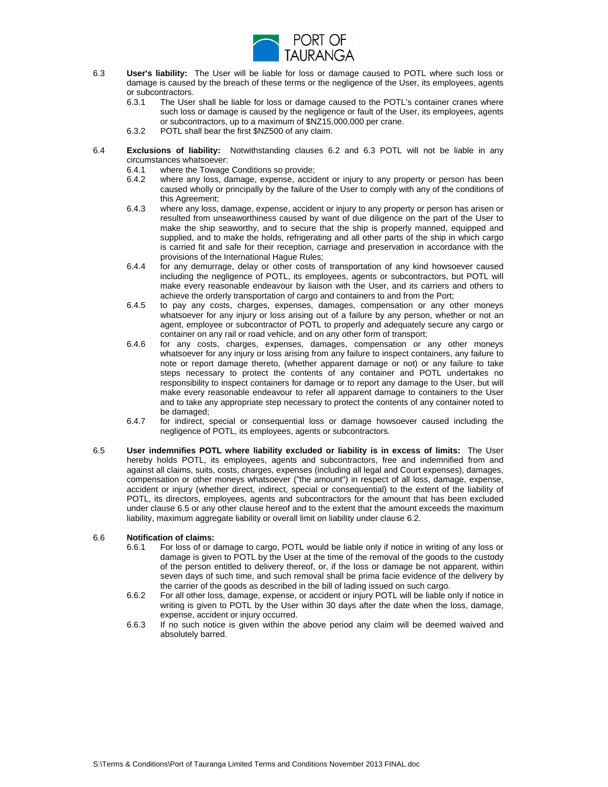

- 6.3 **User's liability:** The User will be liable for loss or damage caused to POTL where such loss or damage is caused by the breach of these terms or the negligence of the User, its employees, agents or subcontractors. or subcontractors. **Example 20** in the set of the set of the set of the set of the set of the set of the set of the set of the set of the set of the set of the set of the set of the set of the set of the set of the set of
	- 6.3.1 The User shall be liable for loss or damage caused to the POTL's container cranes where such loss or damage is caused by the negligence or fault of the User, its employees, agents or subcontractors, up to a maximum of \$NZ15,000,000 per crane.
	- 6.3.2 POTL shall bear the first \$NZ500 of any claim.
- 6.4 **Exclusions of liability:** Notwithstanding clauses 6.2 and 6.3 POTL will not be liable in any circumstances whatsoever:
	- 6.4.1 where the Towage Conditions so provide;<br>6.4.2 where any loss, damage, expense, accident
	- where any loss, damage, expense, accident or injury to any property or person has been caused wholly or principally by the failure of the User to comply with any of the conditions of this Agreement;
	- 6.4.3 where any loss, damage, expense, accident or injury to any property or person has arisen or resulted from unseaworthiness caused by want of due diligence on the part of the User to make the ship seaworthy, and to secure that the ship is properly manned, equipped and supplied, and to make the holds, refrigerating and all other parts of the ship in which cargo is carried fit and safe for their reception, carriage and preservation in accordance with the provisions of the International Hague Rules;
	- 6.4.4 for any demurrage, delay or other costs of transportation of any kind howsoever caused including the negligence of POTL, its employees, agents or subcontractors, but POTL will make every reasonable endeavour by liaison with the User, and its carriers and others to achieve the orderly transportation of cargo and containers to and from the Port;
	- 6.4.5 to pay any costs, charges, expenses, damages, compensation or any other moneys whatsoever for any injury or loss arising out of a failure by any person, whether or not an agent, employee or subcontractor of POTL to properly and adequately secure any cargo or container on any rail or road vehicle, and on any other form of transport;
	- 6.4.6 for any costs, charges, expenses, damages, compensation or any other moneys whatsoever for any injury or loss arising from any failure to inspect containers, any failure to note or report damage thereto, (whether apparent damage or not) or any failure to take steps necessary to protect the contents of any container and POTL undertakes no responsibility to inspect containers for damage or to report any damage to the User, but will make every reasonable endeavour to refer all apparent damage to containers to the User and to take any appropriate step necessary to protect the contents of any container noted to be damaged;
	- 6.4.7 for indirect, special or consequential loss or damage howsoever caused including the negligence of POTL, its employees, agents or subcontractors.
- 6.5 **User indemnifies POTL where liability excluded or liability is in excess of limits:** The User hereby holds POTL, its employees, agents and subcontractors, free and indemnified from and against all claims, suits, costs, charges, expenses (including all legal and Court expenses), damages, compensation or other moneys whatsoever ("the amount") in respect of all loss, damage, expense, accident or injury (whether direct, indirect, special or consequential) to the extent of the liability of POTL, its directors, employees, agents and subcontractors for the amount that has been excluded under clause 6.5 or any other clause hereof and to the extent that the amount exceeds the maximum liability, maximum aggregate liability or overall limit on liability under clause 6.2.

#### 6.6 **Notification of claims:**

- 6.6.1 For loss of or damage to cargo, POTL would be liable only if notice in writing of any loss or damage is given to POTL by the User at the time of the removal of the goods to the custody of the person entitled to delivery thereof, or, if the loss or damage be not apparent, within seven days of such time, and such removal shall be prima facie evidence of the delivery by the carrier of the goods as described in the bill of lading issued on such cargo.
- 6.6.2 For all other loss, damage, expense, or accident or injury POTL will be liable only if notice in writing is given to POTL by the User within 30 days after the date when the loss, damage, expense, accident or injury occurred.
- 6.6.3 If no such notice is given within the above period any claim will be deemed waived and absolutely barred.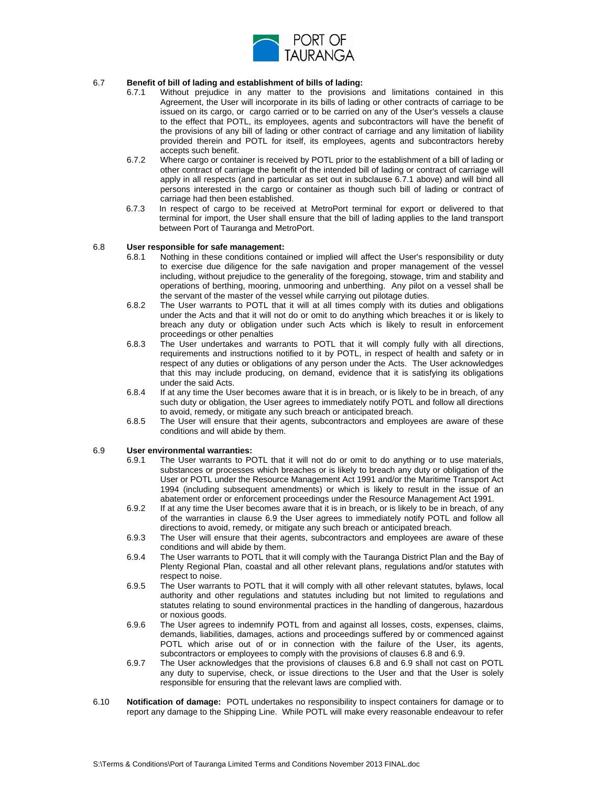

# 6.7 **Benefit of bill of lading and establishment of bills of lading:**

- 6.7.1 Without prejudice in any matter to the provisions and limitations contained in this Agreement, the User will incorporate in its bills of lading or other contracts of carriage to be issued on its cargo, or cargo carried or to be carried on any of the User's vessels a clause to the effect that POTL, its employees, agents and subcontractors will have the benefit of the provisions of any bill of lading or other contract of carriage and any limitation of liability provided therein and POTL for itself, its employees, agents and subcontractors hereby accepts such benefit.
- 6.7.2 Where cargo or container is received by POTL prior to the establishment of a bill of lading or other contract of carriage the benefit of the intended bill of lading or contract of carriage will apply in all respects (and in particular as set out in subclause 6.7.1 above) and will bind all persons interested in the cargo or container asthough such bill of lading or contract of carriage had then been established.
- 6.7.3 In respect of cargo to be received at MetroPort terminal for export or delivered to that terminal for import, the User shall ensure that the bill of lading applies to the land transport between Port of Tauranga and MetroPort.

#### 6.8 **User responsible for safe management:**

- 6.8.1 Nothing in these conditions contained or implied will affect the User's responsibility or duty to exercise due diligence for the safe navigation and proper management of the vessel including, without prejudice to the generality of the foregoing, stowage, trim and stability and operations of berthing, mooring, unmooring and unberthing. Any pilot on a vessel shall be the servant of the master of the vessel while carrying out pilotage duties.
- 6.8.2 The User warrants to POTL that it will at all times comply with its duties and obligations under the Acts and that it will not do or omit to do anything which breaches it or is likely to breach any duty or obligation under such Acts which is likely to result in enforcement proceedings or other penalties
- 6.8.3 The User undertakes and warrants to POTL that it will comply fully with all directions, requirements and instructions notified to it by POTL, in respect of health and safety or in respect of any duties or obligations of any person under the Acts. The User acknowledges that this may include producing, on demand, evidence that it is satisfying its obligations under the said Acts.
- 6.8.4 If at any time the User becomes aware that it is in breach, or is likely to be in breach, of any such duty or obligation, the User agrees to immediately notify POTL and follow all directions to avoid, remedy, or mitigate any such breach or anticipated breach.
- 6.8.5 The User will ensure that their agents, subcontractors and employees are aware of these conditions and will abide by them.

#### 6.9 **User environmental warranties:**

- 6.9.1 The User warrants to POTL that it will not do or omit to do anything or to use materials, substances or processes which breaches or is likely to breach any duty or obligation of the User or POTL under the Resource Management Act 1991 and/or the Maritime Transport Act 1994 (including subsequent amendments) or which is likely to result in the issue of an abatement order or enforcement proceedings under the Resource Management Act 1991.
- 6.9.2 If at any time the User becomes aware that it is in breach, or is likely to be in breach, of any of the warranties in clause 6.9 the User agrees to immediately notify POTL and follow all directions to avoid, remedy, or mitigate any such breach or anticipated breach.
- 6.9.3 The User will ensure that their agents, subcontractors and employees are aware of these conditions and will abide by them.
- 6.9.4 The User warrants to POTL that it will comply with the Tauranga District Plan and the Bay of Plenty Regional Plan, coastal and all other relevant plans, regulations and/or statutes with respect to noise.
- 6.9.5 The User warrants to POTL that it will comply with all other relevant statutes, bylaws, local authority and other regulations and statutes including but not limited to regulations and statutes relating to sound environmental practices in the handling of dangerous, hazardous or noxious goods.
- 6.9.6 The User agrees to indemnify POTL from and against all losses, costs, expenses, claims, demands, liabilities, damages, actions and proceedings suffered by or commenced against POTL which arise out of or in connection with the failure of the User, its agents, subcontractors or employees to comply with the provisions of clauses 6.8 and 6.9.
- 6.9.7 The User acknowledges that the provisions of clauses 6.8 and 6.9 shall not cast on POTL any duty to supervise, check, or issue directions to the User and that the User is solely responsible for ensuring that the relevant laws are complied with.
- 6.10 **Notification of damage:** POTL undertakes no responsibility to inspect containers for damage or to report any damage to the Shipping Line. While POTL will make every reasonable endeavour to refer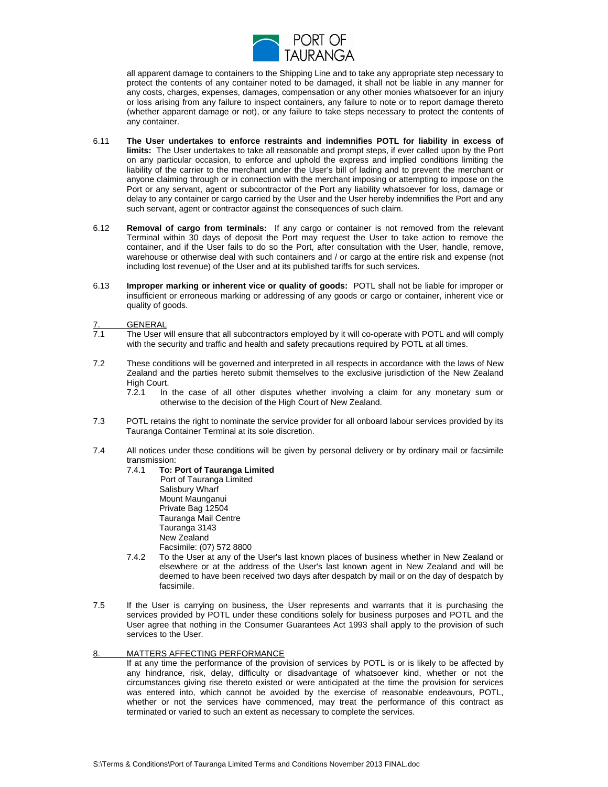

all apparent damage to containers to the Shipping Line and to take any appropriate step necessary to protect the contents of any container noted to be damaged, it shall not be liable in any manner for any costs, charges, expenses, damages, compensation or any other monies whatsoever for an injury or loss arising from any failure to inspect containers, any failure to note or to report damage thereto (whether apparent damage or not), or any failure to take steps necessary to protect the contents of any container.

- 6.11 **The User undertakes to enforce restraints and indemnifies POTL for liability in excess of limits:** The User undertakes to take all reasonable and prompt steps, if ever called upon by the Port on any particular occasion, to enforce and uphold the express and implied conditions limiting the liability of the carrier to the merchant under the User's bill of lading and to prevent the merchant or anyone claiming through or in connection with the merchant imposing or attempting to impose on the Port or any servant, agent or subcontractor of the Port any liability whatsoever for loss, damage or delay to any container or cargo carried by the User and the User hereby indemnifies the Port and any such servant, agent or contractor against the consequences of such claim.
- 6.12 **Removal of cargo from terminals:** If any cargo or container is not removed from the relevant Terminal within 30 days of deposit the Port may request the User to take action to remove the container, and if the User fails to do so the Port, after consultation with the User, handle, remove, warehouse or otherwise deal with such containers and / or cargo at the entire risk and expense (not including lost revenue) of the User and at its published tariffs for such services.
- 6.13 **Improper marking or inherent vice or quality of goods:** POTL shall not be liable for improper or insufficient or erroneous marking or addressing of any goods or cargo or container, inherent vice or quality of goods.

#### 7. GENERAL

- 7.1 The User will ensure that all subcontractors employed by it will co-operate with POTL and will comply with the security and traffic and health and safety precautions required by POTL at all times.
- 7.2 These conditions will be governed and interpreted in all respects in accordance with the laws of New Zealand and the parties hereto submit themselves to the exclusive jurisdiction of the New Zealand High Court.
	- 7.2.1 In the case of all other disputes whether involving a claim for any monetary sum or otherwise to the decision of the High Court of New Zealand.
- 7.3 POTL retains the right to nominate the service provider for all onboard labour services provided by its Tauranga Container Terminal at its sole discretion.
- 7.4 All notices under these conditions will be given by personal delivery or by ordinary mail or facsimile transmission:
	- 7.4.1 **To: Port of Tauranga Limited** Port of Tauranga Limited Salisbury Wharf Mount Maunganui Private Bag 12504 Tauranga Mail Centre Tauranga 3143 New Zealand Facsimile: (07) 572 8800
	- 7.4.2 To the User at any of the User's last known places of business whether in New Zealand or elsewhere or at the address of the User's last known agent in New Zealand and will be deemed to have been received two days after despatch by mail or on the day of despatch by<br>facsimile. facsimile.
- 7.5 If the User is carrying on business, the User represents and warrants that it is purchasing the services provided by POTL under these conditions solely for business purposes and POTL and the User agree that nothing in the Consumer Guarantees Act 1993 shall apply to the provision of such services to the User.

#### 8. MATTERS AFFECTING PERFORMANCE

If at any time the performance of the provision of services by POTL is or is likely to be affected by any hindrance, risk, delay, difficulty or disadvantage of whatsoever kind, whether or not the circumstances giving rise thereto existed or were anticipated at the time the provision for services was entered into, which cannot be avoided by the exercise of reasonable endeavours, POTL, whether or not the services have commenced, may treat the performance of this contract as terminated or varied to such an extent as necessary to complete the services.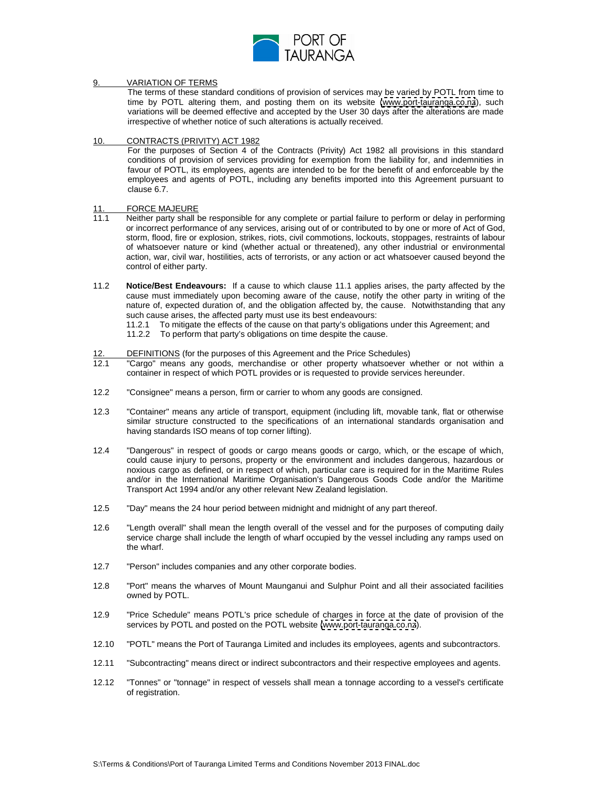

# 9. VARIATION OF TERMS

The terms of these standard conditions of provision of services may be varied by POTL from time to time by POTL altering them, and posting them on its website [\(www.port-tauranga.co.nz](http://www.port-tauranga.co.nz)), such variations will be deemed effective and accepted by the User 30 days after the alterations are made irrespective of whether notice of such alterations is actually received.

# 10. CONTRACTS (PRIVITY) ACT 1982

For the purposes of Section 4 of the Contracts (Privity) Act 1982 all provisions in this standard conditions of provision of services providing for exemption from the liability for, and indemnities in favour of POTL, its employees, agents are intended to be for the benefit of and enforceable by the employees and agents of POTL, including any benefits imported into this Agreement pursuant to clause 6.7. **Clause 6.7. Clause 6.7. Clause 6.7. Clause 6.7. Clause 6.7. Clause 6.7.** 

# 11. FORCE MAJEURE **A SERVICE OF A SERVICE OF A SERVICE OF A SERVICE OF A SERVICE OF A SERVICE OF A SERVICE OF A SERVICE OF A SERVICE OF A SERVICE OF A SERVICE OF A SERVICE OF A SERVICE OF A SERVICE OF A SERVICE OF A SERVIC**

- 11.1 Neither party shall be responsible for any complete or partial failure to perform or delay in performing or incorrect performance of any services, arising out of or contributed to by one or more of Act of God, storm, flood, fire or explosion, strikes, riots, civil commotions, lockouts, stoppages, restraints of labour of whatsoever nature or kind (whether actual or threatened), any other industrial or environmental action, war, civil war, hostilities, acts of terrorists, or any action or act whatsoever caused beyond the control of either party.
- 11.2 **Notice/Best Endeavours:** If a cause to which clause 11.1 applies arises, the partyaffected by the cause must immediately upon becoming aware of the cause, notify the other party in writing of the nature of, expected duration of, and the obligation affected by, the cause. Notwithstanding that any such cause arises, the affected party must use its best endeavours:
	- 11.2.1 To mitigate the effects of the cause on that party's obligations under this Agreement; and
	- 11.2.2 To perform that party's obligations on time despite the cause.

#### 12. DEFINITIONS (for the purposes of this Agreement and the Price Schedules)

- 12.1 "Cargo" means any goods, merchandise or other property whatsoever whether or not within a container in respect of which POTL provides or is requested to provide services hereunder.
- 12.2 "Consignee" means a person, firm or carrier to whom any goods are consigned.
- 12.3 "Container" means any article of transport, equipment (including lift, movable tank, flat or otherwise similar structure constructed to the specifications of an international standards organisation and having standards ISO means of top corner lifting).
- 12.4 "Dangerous" in respect of goods or cargo means goods or cargo, which, or the escape of which, could cause injury to persons, property or the environment and includes dangerous, hazardous or noxious cargo as defined, or in respect of which, particular care is required for in the Maritime Rules and/or in the International Maritime Organisation's Dangerous Goods Code and/or the Maritime Transport Act 1994 and/or any other relevant New Zealand legislation.
- 12.5 "Day" means the 24 hour period between midnight and midnight of any part thereof.
- 12.6 "Length overall" shall mean the length overall of the vessel and for the purposes of computing daily service charge shall include the length of wharf occupied by the vessel including any ramps used on the wharf. The what is a state of the whole contract the what is a state of the what is a state of the what is a state of the what is a state of the what is a state of the what is a state of the what is a state of the what
- 12.7 "Person" includes companies and any other corporate bodies.
- 12.8 "Port" means the wharves of Mount Maunganui and Sulphur Point and all their associated facilities owned by POTL.
- 12.9 "Price Schedule" means POTL's price schedule of charges in force at the date of provision of the services by POTL and posted on the POTL website [\(www.port-tauranga.co.nz](http://www.port-tauranga.co.nz)).
- 12.10 "POTL" means the Port of Tauranga Limited and includes its employees, agents and subcontractors.
- 12.11 "Subcontracting" means direct or indirect subcontractors and their respective employees and agents.
- 12.12 "Tonnes" or "tonnage" in respect of vessels shall mean a tonnage according to a vessel's certificate of registration.